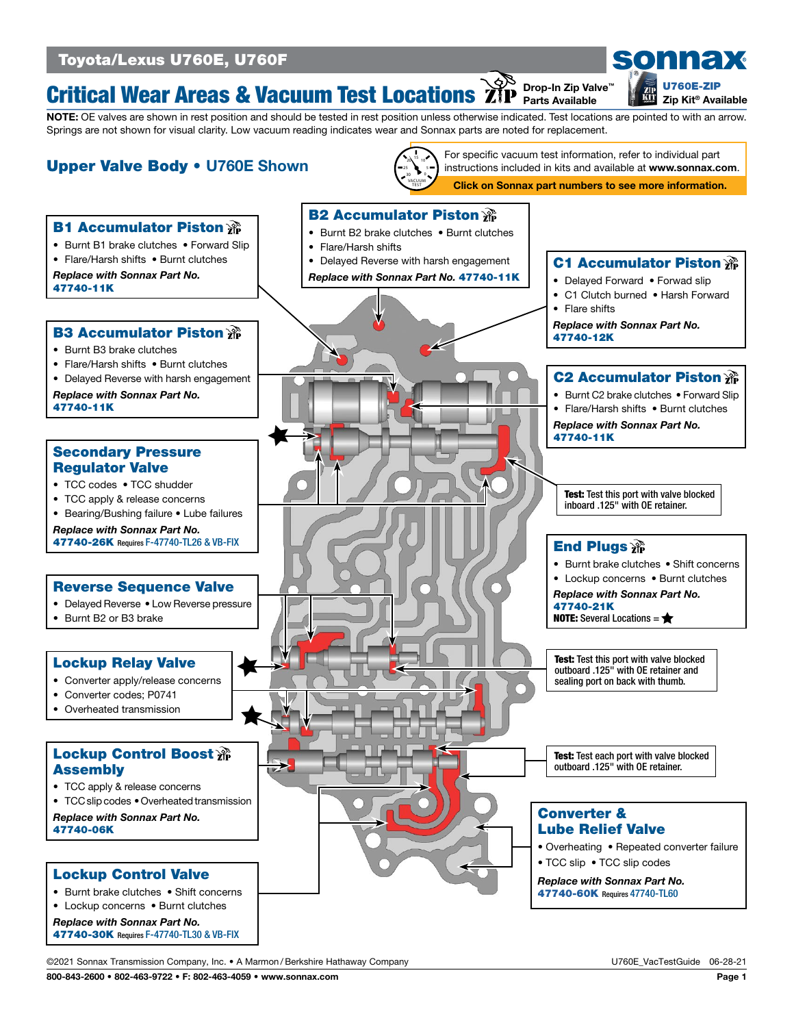# Toyota/Lexus U760E, U760F

#### Critical Wear Areas & Vacuum Test Locations Drop-In Zip Valve™ Parts Available

NOTE: OE valves are shown in rest position and should be tested in rest position unless otherwise indicated. Test locations are pointed to with an arrow. Springs are not shown for visual clarity. Low vacuum reading indicates wear and Sonnax parts are noted for replacement.



©2021 Sonnax Transmission Company, Inc. • A Marmon /Berkshire Hathaway Company U760E\_VacTestGuide 06-28-21

800-843-2600 • 802-463-9722 • F: 802-463-4059 • www.sonnax.com Page 1

[U760E-ZIP](https://www.sonnax.com/parts/3807-zip-kit) Zip Kit® Available

sonnax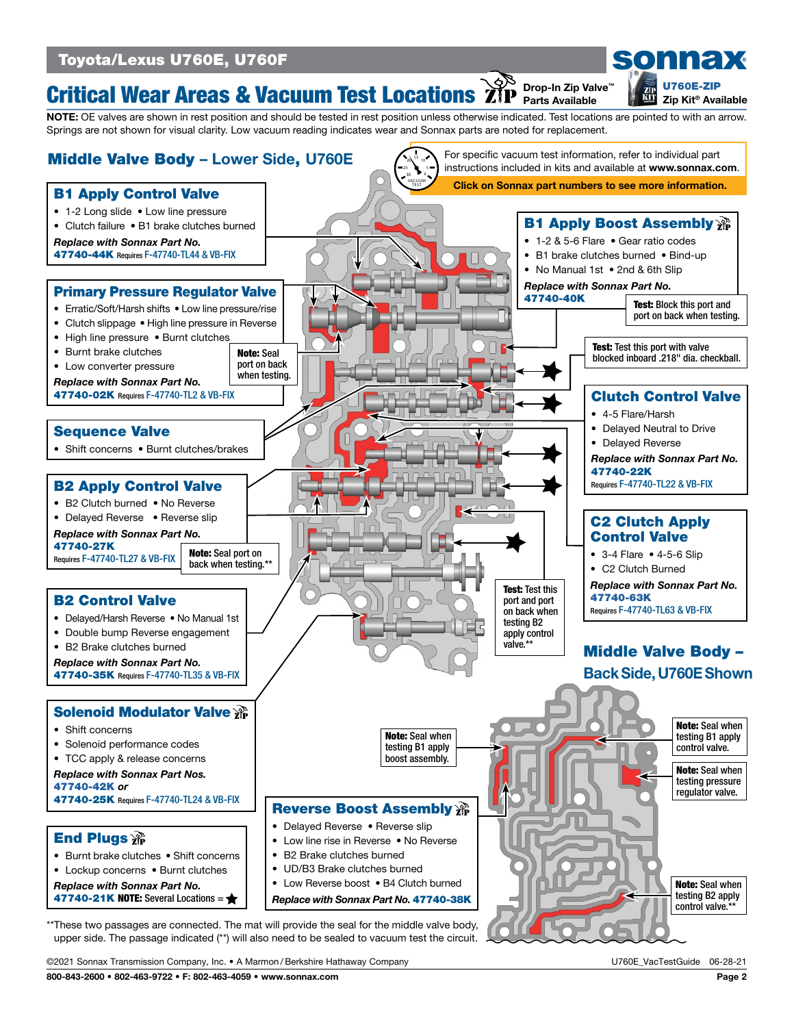# Toyota/Lexus U760E, U760F

#### Critical Wear Areas & Vacuum Test Locations Drop-In Zip Valve™ Parts Available

NOTE: OE valves are shown in rest position and should be tested in rest position unless otherwise indicated. Test locations are pointed to with an arrow. Springs are not shown for visual clarity. Low vacuum reading indicates wear and Sonnax parts are noted for replacement.



upper side. The passage indicated (\*\*) will also need to be sealed to vacuum test the circuit.

©2021 Sonnax Transmission Company, Inc. • A Marmon /Berkshire Hathaway Company U760E\_VacTestGuide 06-28-21

800-843-2600 • 802-463-9722 • F: 802-463-4059 • www.sonnax.com Page 2

[U760E-ZIP](https://www.sonnax.com/parts/3807-zip-kit) Zip Kit® Available

sonnax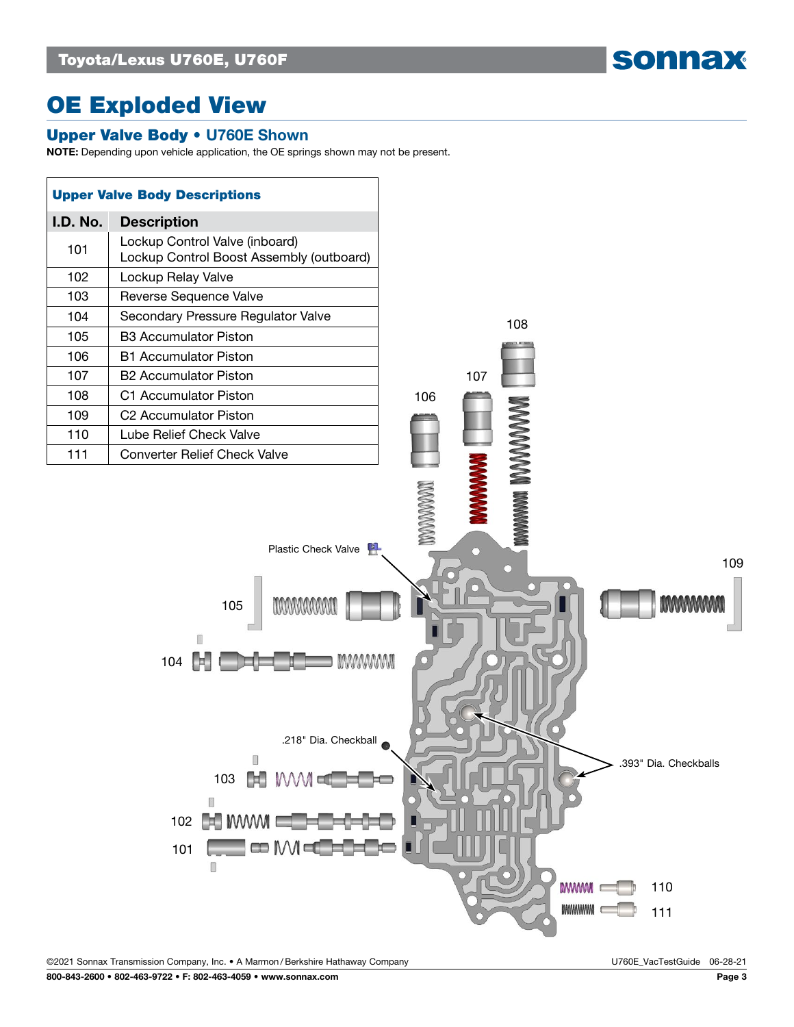sonnax

# OE Exploded View

### Upper Valve Body • U760E Shown

NOTE: Depending upon vehicle application, the OE springs shown may not be present.



©2021 Sonnax Transmission Company, Inc. • A Marmon /Berkshire Hathaway Company U760E\_VacTestGuide 06-28-21